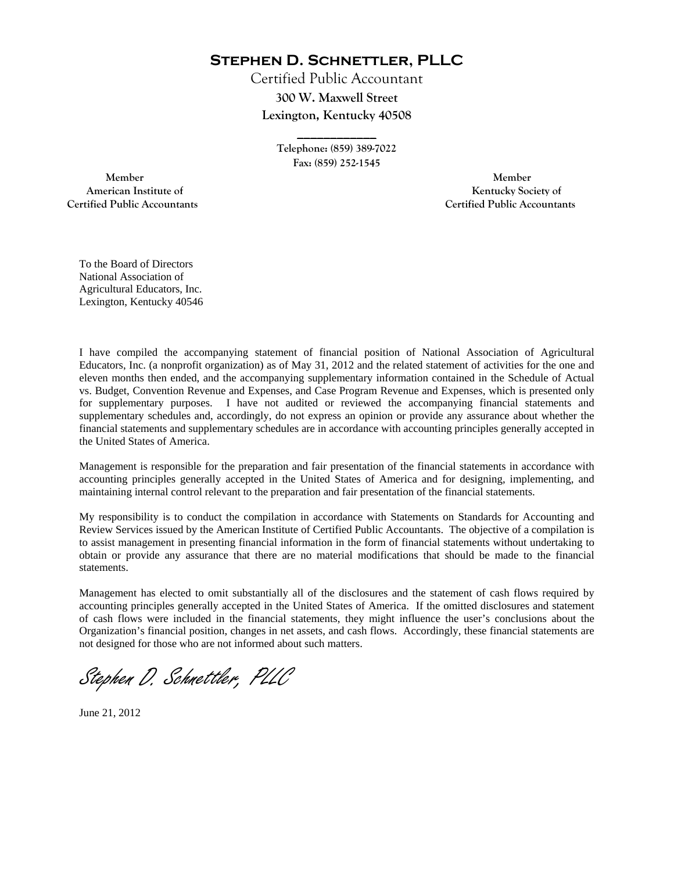**Stephen D. Schnettler, PLLC**

Certified Public Accountant **300 W. Maxwell Street Lexington, Kentucky 40508** 

> **Telephone: (859) 389-7022 Fax: (859) 252-1545**

**\_\_\_\_\_\_\_\_\_\_\_\_** 

 **Member Member Certified Public Accountants Certified Public Accountants** 

American Institute of **Kentucky Society of** 

To the Board of Directors National Association of Agricultural Educators, Inc. Lexington, Kentucky 40546

I have compiled the accompanying statement of financial position of National Association of Agricultural Educators, Inc. (a nonprofit organization) as of May 31, 2012 and the related statement of activities for the one and eleven months then ended, and the accompanying supplementary information contained in the Schedule of Actual vs. Budget, Convention Revenue and Expenses, and Case Program Revenue and Expenses, which is presented only for supplementary purposes. I have not audited or reviewed the accompanying financial statements and supplementary schedules and, accordingly, do not express an opinion or provide any assurance about whether the financial statements and supplementary schedules are in accordance with accounting principles generally accepted in the United States of America.

Management is responsible for the preparation and fair presentation of the financial statements in accordance with accounting principles generally accepted in the United States of America and for designing, implementing, and maintaining internal control relevant to the preparation and fair presentation of the financial statements.

My responsibility is to conduct the compilation in accordance with Statements on Standards for Accounting and Review Services issued by the American Institute of Certified Public Accountants. The objective of a compilation is to assist management in presenting financial information in the form of financial statements without undertaking to obtain or provide any assurance that there are no material modifications that should be made to the financial statements.

Management has elected to omit substantially all of the disclosures and the statement of cash flows required by accounting principles generally accepted in the United States of America. If the omitted disclosures and statement of cash flows were included in the financial statements, they might influence the user's conclusions about the Organization's financial position, changes in net assets, and cash flows. Accordingly, these financial statements are not designed for those who are not informed about such matters.

Stephen D. Schnettler, PLLC

June 21, 2012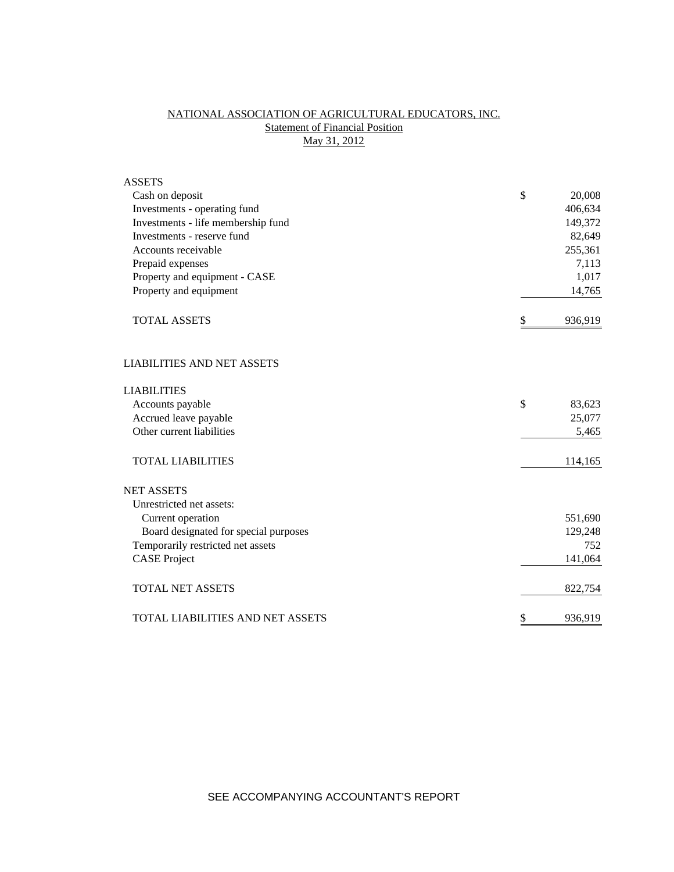# NATIONAL ASSOCIATION OF AGRICULTURAL EDUCATORS, INC. **Statement of Financial Position** May 31, 2012

| <b>ASSETS</b>                         |               |
|---------------------------------------|---------------|
| Cash on deposit                       | \$<br>20,008  |
| Investments - operating fund          | 406,634       |
| Investments - life membership fund    | 149,372       |
| Investments - reserve fund            | 82,649        |
| Accounts receivable                   | 255,361       |
| Prepaid expenses                      | 7,113         |
| Property and equipment - CASE         | 1,017         |
| Property and equipment                | 14,765        |
| <b>TOTAL ASSETS</b>                   | \$<br>936,919 |
| <b>LIABILITIES AND NET ASSETS</b>     |               |
| <b>LIABILITIES</b>                    |               |
| Accounts payable                      | \$<br>83,623  |
| Accrued leave payable                 | 25,077        |
| Other current liabilities             | 5,465         |
| <b>TOTAL LIABILITIES</b>              | 114,165       |
| <b>NET ASSETS</b>                     |               |
| Unrestricted net assets:              |               |
| Current operation                     | 551,690       |
| Board designated for special purposes | 129,248       |
| Temporarily restricted net assets     | 752           |
| <b>CASE Project</b>                   | 141,064       |
| <b>TOTAL NET ASSETS</b>               | 822,754       |
| TOTAL LIABILITIES AND NET ASSETS      | \$<br>936,919 |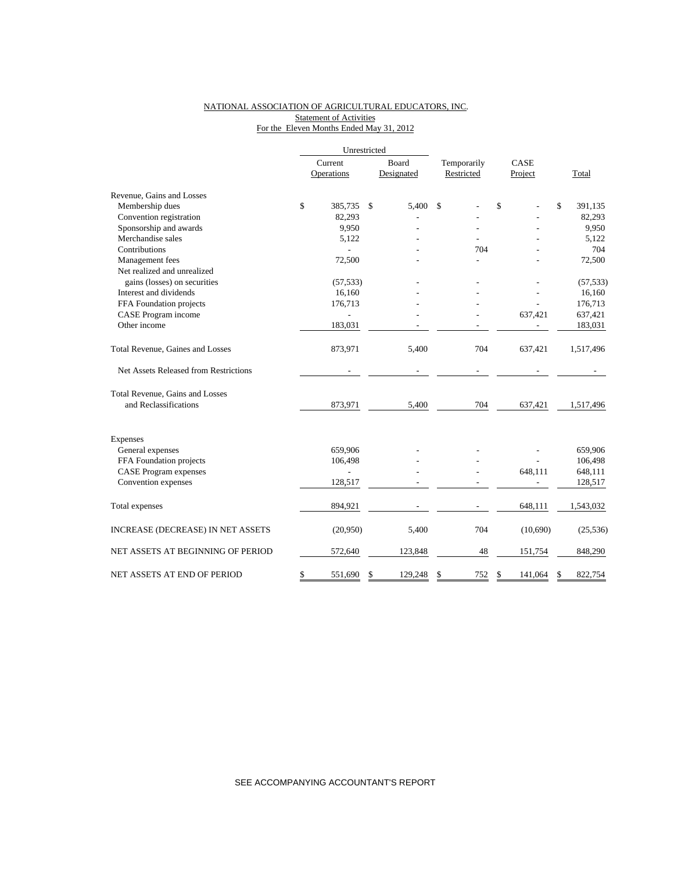# NATIONAL ASSOCIATION OF AGRICULTURAL EDUCATORS, INC. Statement of Activities For the Eleven Months Ended May 31, 2012

|                                       | Unrestricted |                |              |            |             |            |               |               |           |
|---------------------------------------|--------------|----------------|--------------|------------|-------------|------------|---------------|---------------|-----------|
|                                       |              | Current        | Board        |            | Temporarily |            | CASE          |               |           |
|                                       |              | Operations     |              | Designated |             | Restricted | Project       |               | Total     |
| Revenue, Gains and Losses             |              |                |              |            |             |            |               |               |           |
| Membership dues                       | \$           | 385,735        | \$           | 5,400      | \$          |            | \$            | \$            | 391,135   |
| Convention registration               |              | 82,293         |              |            |             |            |               |               | 82,293    |
| Sponsorship and awards                |              | 9,950          |              |            |             |            |               |               | 9,950     |
| Merchandise sales                     |              | 5,122          |              |            |             |            |               |               | 5,122     |
| Contributions                         |              |                |              |            |             | 704        |               |               | 704       |
| Management fees                       |              | 72,500         |              |            |             |            |               |               | 72,500    |
| Net realized and unrealized           |              |                |              |            |             |            |               |               |           |
| gains (losses) on securities          |              | (57, 533)      |              |            |             |            |               |               | (57, 533) |
| Interest and dividends                |              | 16,160         |              |            |             |            |               |               | 16,160    |
| FFA Foundation projects               |              | 176,713        |              |            |             |            |               |               | 176,713   |
| CASE Program income                   |              |                |              |            |             |            | 637,421       |               | 637,421   |
| Other income                          |              | 183,031        |              |            |             |            |               |               | 183,031   |
| Total Revenue, Gaines and Losses      |              | 873,971        |              | 5,400      |             | 704        | 637,421       |               | 1,517,496 |
| Net Assets Released from Restrictions |              |                |              |            |             |            |               |               |           |
| Total Revenue, Gains and Losses       |              |                |              |            |             |            |               |               |           |
| and Reclassifications                 |              | 873,971        |              | 5,400      |             | 704        | 637,421       |               | 1,517,496 |
| Expenses                              |              |                |              |            |             |            |               |               |           |
| General expenses                      |              | 659,906        |              |            |             |            |               |               | 659,906   |
| FFA Foundation projects               |              | 106,498        |              |            |             |            |               |               | 106,498   |
| <b>CASE</b> Program expenses          |              | $\overline{a}$ |              |            |             |            | 648,111       |               | 648,111   |
| Convention expenses                   |              | 128,517        |              |            |             |            |               |               | 128,517   |
| Total expenses                        |              | 894,921        |              |            |             |            | 648,111       |               | 1,543,032 |
| INCREASE (DECREASE) IN NET ASSETS     |              | (20,950)       |              | 5,400      |             | 704        | (10,690)      |               | (25, 536) |
| NET ASSETS AT BEGINNING OF PERIOD     |              | 572,640        |              | 123,848    |             | 48         | 151,754       |               | 848,290   |
| NET ASSETS AT END OF PERIOD           | \$           | 551,690        | $\mathbb{S}$ | 129,248    | \$          | 752        | \$<br>141,064 | <sup>\$</sup> | 822,754   |

SEE ACCOMPANYING ACCOUNTANT'S REPORT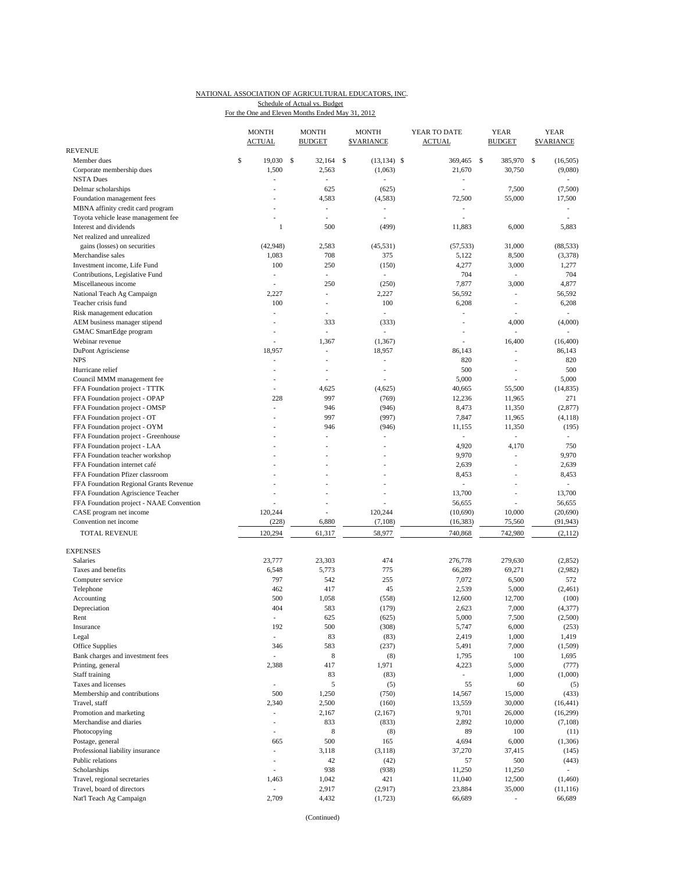## NATIONAL ASSOCIATION OF AGRICULTURAL EDUCATORS, INC. Schedule of Actual vs. Budget

For the One and Eleven Months Ended May 31, 2012

|                                                             | <b>MONTH</b><br><b>ACTUAL</b> | <b>MONTH</b><br><b>BUDGET</b>    | <b>MONTH</b><br><b>\$VARIANCE</b> | YEAR TO DATE<br><b>ACTUAL</b> | <b>YEAR</b><br><b>BUDGET</b> | <b>YEAR</b><br><b>\$VARIANCE</b> |
|-------------------------------------------------------------|-------------------------------|----------------------------------|-----------------------------------|-------------------------------|------------------------------|----------------------------------|
| <b>REVENUE</b>                                              |                               |                                  |                                   |                               |                              |                                  |
| Member dues                                                 | \$<br>19.030                  | \$<br>32,164                     | \$<br>$(13, 134)$ \$              | 369,465 \$                    | 385,970                      | \$<br>(16, 505)                  |
| Corporate membership dues<br><b>NSTA Dues</b>               | 1,500<br>Ĭ.                   | 2,563<br>ä,                      | (1,063)<br>L,                     | 21,670                        | 30,750                       | (9,080)<br>÷.                    |
| Delmar scholarships                                         |                               | 625                              | (625)                             | $\sim$                        | 7,500                        | (7,500)                          |
| Foundation management fees                                  |                               | 4,583                            | (4,583)                           | 72,500                        | 55,000                       | 17,500                           |
| MBNA affinity credit card program                           | ÷,                            | $\overline{a}$                   | $\overline{a}$                    | ٠                             |                              | $\overline{\phantom{a}}$         |
| Toyota vehicle lease management fee                         |                               |                                  |                                   |                               |                              |                                  |
| Interest and dividends                                      | $\mathbf{1}$                  | 500                              | (499)                             | 11,883                        | 6,000                        | 5,883                            |
| Net realized and unrealized                                 |                               |                                  |                                   |                               |                              |                                  |
| gains (losses) on securities                                | (42, 948)                     | 2,583                            | (45, 531)                         | (57, 533)                     | 31,000                       | (88, 533)                        |
| Merchandise sales                                           | 1,083                         | 708                              | 375                               | 5,122                         | 8,500                        | (3,378)                          |
| Investment income, Life Fund                                | 100                           | 250                              | (150)                             | 4,277                         | 3,000                        | 1,277                            |
| Contributions, Legislative Fund                             | ÷,                            | $\overline{\phantom{a}}$         | $\overline{\phantom{a}}$          | 704                           | L,                           | 704                              |
| Miscellaneous income                                        |                               | 250                              | (250)                             | 7,877                         | 3,000                        | 4,877                            |
| National Teach Ag Campaign                                  | 2,227                         | $\overline{a}$                   | 2,227                             | 56,592                        | L,                           | 56,592                           |
| Teacher crisis fund                                         | 100                           |                                  | 100                               | 6,208                         | $\overline{\phantom{0}}$     | 6,208                            |
| Risk management education                                   | Ĭ.                            | $\overline{a}$                   | ÷,                                | $\overline{\phantom{a}}$      |                              | ÷.                               |
| AEM business manager stipend                                | ä,                            | 333                              | (333)                             | $\overline{\phantom{a}}$      | 4,000                        | (4,000)                          |
| GMAC SmartEdge program                                      |                               | ä,                               | ÷,                                |                               | ÷.                           |                                  |
| Webinar revenue                                             |                               | 1,367                            | (1, 367)                          | 86.143                        | 16,400                       | (16, 400)                        |
| DuPont Agrisciense<br><b>NPS</b>                            | 18,957                        | ٠                                | 18,957                            | 820                           | ä,                           | 86,143                           |
| Hurricane relief                                            |                               | ٠                                | ÷<br>ä,                           | 500                           | ÷,                           | 820<br>500                       |
|                                                             |                               | $\overline{a}$<br>$\overline{a}$ |                                   | 5,000                         | L<br>$\overline{a}$          | 5,000                            |
| Council MMM management fee                                  |                               |                                  |                                   |                               |                              |                                  |
| FFA Foundation project - TTTK                               | 228                           | 4,625<br>997                     | (4,625)                           | 40,665<br>12,236              | 55,500                       | (14, 835)<br>271                 |
| FFA Foundation project - OPAP                               | ÷,                            |                                  | (769)                             | 8,473                         | 11,965                       |                                  |
| FFA Foundation project - OMSP                               |                               | 946<br>997                       | (946)<br>(997)                    | 7,847                         | 11,350                       | (2,877)                          |
| FFA Foundation project - OT<br>FFA Foundation project - OYM |                               | 946                              | (946)                             | 11,155                        | 11,965<br>11,350             | (4,118)<br>(195)                 |
| FFA Foundation project - Greenhouse                         |                               | ٠                                |                                   | $\sim$                        | ٠                            | ٠                                |
| FFA Foundation project - LAA                                |                               | $\overline{a}$                   | ÷,                                | 4,920                         | 4,170                        | 750                              |
| FFA Foundation teacher workshop                             |                               |                                  |                                   | 9,970                         | L,                           | 9,970                            |
| FFA Foundation internet café                                |                               |                                  |                                   | 2,639                         | L,                           | 2,639                            |
| FFA Foundation Pfizer classroom                             |                               |                                  | ä,                                | 8,453                         | ä,                           | 8,453                            |
| FFA Foundation Regional Grants Revenue                      |                               |                                  |                                   | ÷.                            | ÷,                           | $\mathcal{L}_{\mathcal{A}}$      |
| FFA Foundation Agriscience Teacher                          |                               |                                  |                                   | 13,700                        | L,                           | 13,700                           |
| FFA Foundation project - NAAE Convention                    |                               |                                  |                                   | 56,655                        | ÷,                           | 56,655                           |
| CASE program net income                                     | 120,244                       | ÷.                               | 120,244                           | (10,690)                      | 10,000                       | (20, 690)                        |
| Convention net income                                       | (228)                         | 6,880                            | (7,108)                           | (16, 383)                     | 75,560                       | (91, 943)                        |
| TOTAL REVENUE                                               | 120,294                       | 61,317                           | 58,977                            | 740,868                       | 742,980                      | (2,112)                          |
| <b>EXPENSES</b>                                             |                               |                                  |                                   |                               |                              |                                  |
| Salaries                                                    | 23,777                        | 23,303                           | 474                               | 276,778                       | 279,630                      | (2,852)                          |
| Taxes and benefits                                          | 6,548                         | 5,773                            | 775                               | 66,289                        | 69,271                       | (2,982)                          |
| Computer service                                            | 797                           | 542                              | 255                               | 7,072                         | 6,500                        | 572                              |
| Telephone                                                   | 462                           | 417                              | 45                                | 2,539                         | 5,000                        | (2,461)                          |
| Accounting                                                  | 500                           | 1,058                            | (558)                             | 12,600                        | 12,700                       | (100)                            |
| Depreciation                                                | 404                           | 583                              | (179)                             | 2,623                         | 7,000                        | (4, 377)                         |
| Rent                                                        |                               | 625                              | (625)                             | 5,000                         | 7,500                        | (2,500)                          |
| Insurance                                                   | 192                           | 500                              | (308)                             | 5,747                         | 6,000                        | (253)                            |
| Legal                                                       | ÷,                            | 83                               | (83)                              | 2,419                         | 1,000                        | 1,419                            |
| Office Supplies                                             | 346                           | 583                              | (237)                             | 5,491                         | 7,000                        | (1,509)                          |
| Bank charges and investment fees                            |                               | 8                                | (8)                               | 1,795                         | 100                          | 1,695                            |
| Printing, general                                           | 2,388                         | 417                              | 1,971                             | 4,223                         | 5,000                        | (777)                            |
| Staff training                                              |                               | 83                               | (83)                              | $\overline{\phantom{a}}$      | 1,000                        | (1,000)                          |
| Taxes and licenses                                          | $\overline{\phantom{a}}$      | 5                                | (5)                               | 55                            | 60                           | (5)                              |
| Membership and contributions                                | 500                           | 1,250                            | (750)                             | 14,567                        | 15,000                       | (433)                            |
| Travel, staff                                               | 2,340                         | 2,500                            | (160)                             | 13,559                        | 30,000                       | (16, 441)                        |
| Promotion and marketing                                     | $\overline{\phantom{0}}$      | 2,167                            | (2,167)                           | 9,701                         | 26,000                       | (16, 299)                        |
| Merchandise and diaries                                     | ÷                             | 833                              | (833)                             | 2,892                         | 10,000                       | (7,108)                          |
| Photocopying                                                | ÷,                            | 8                                | (8)                               | 89                            | 100                          | (11)                             |
| Postage, general                                            | 665                           | 500                              | 165                               | 4,694                         | 6,000                        | (1,306)                          |
| Professional liability insurance                            | ÷,                            | 3,118                            | (3, 118)                          | 37,270                        | 37,415                       | (145)                            |
| Public relations                                            | ÷                             | 42                               | (42)                              | 57                            | 500                          | (443)                            |
| Scholarships                                                | ä,                            | 938                              | (938)                             | 11,250                        | 11,250                       | $\overline{\phantom{a}}$         |
| Travel, regional secretaries                                | 1,463                         | 1,042                            | 421                               | 11,040                        | 12,500                       | (1,460)                          |
| Travel, board of directors                                  |                               | 2,917                            | (2,917)                           | 23,884                        | 35,000                       | (11, 116)                        |
| Nat'l Teach Ag Campaign                                     | 2,709                         | 4,432                            | (1,723)                           | 66,689                        | ÷.                           | 66,689                           |

(Continued)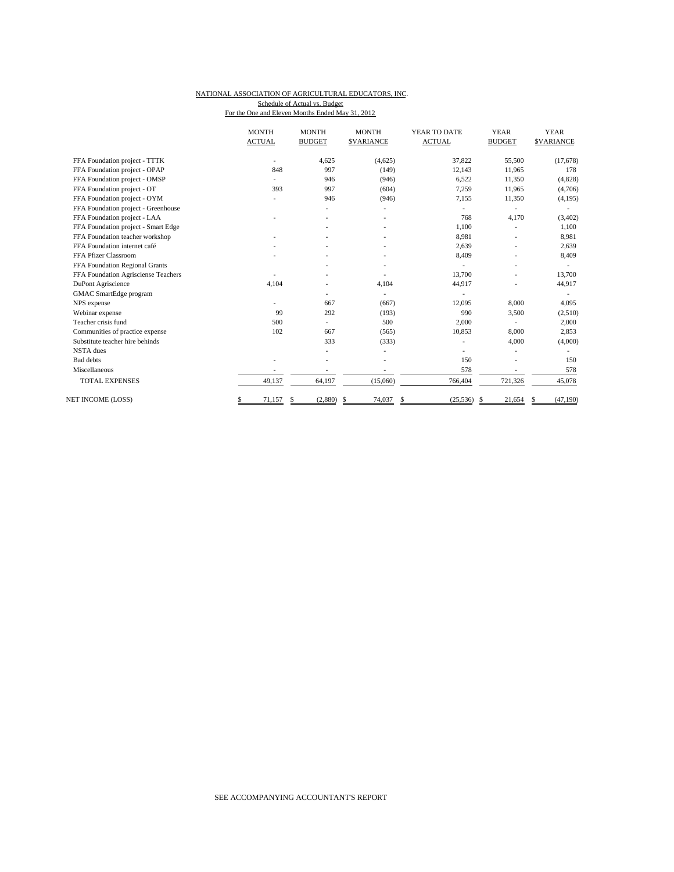# NATIONAL ASSOCIATION OF AGRICULTURAL EDUCATORS, INC. Schedule of Actual vs. Budget

For the One and Eleven Months Ended May 31, 2012

|                                     | <b>MONTH</b><br><b>ACTUAL</b> | <b>MONTH</b><br><b>BUDGET</b> | <b>MONTH</b><br><b>SVARIANCE</b> | YEAR TO DATE<br><b>ACTUAL</b> | <b>YEAR</b><br><b>BUDGET</b> | <b>YEAR</b><br><b>SVARIANCE</b> |
|-------------------------------------|-------------------------------|-------------------------------|----------------------------------|-------------------------------|------------------------------|---------------------------------|
| FFA Foundation project - TTTK       | ٠                             | 4,625                         | (4,625)                          | 37,822                        | 55,500                       | (17,678)                        |
| FFA Foundation project - OPAP       | 848                           | 997                           | (149)                            | 12,143                        | 11,965                       | 178                             |
| FFA Foundation project - OMSP       |                               | 946                           | (946)                            | 6,522                         | 11,350                       | (4,828)                         |
| FFA Foundation project - OT         | 393                           | 997                           | (604)                            | 7,259                         | 11,965                       | (4,706)                         |
| FFA Foundation project - OYM        |                               | 946                           | (946)                            | 7,155                         | 11,350                       | (4,195)                         |
| FFA Foundation project - Greenhouse |                               |                               |                                  |                               |                              |                                 |
| FFA Foundation project - LAA        |                               |                               |                                  | 768                           | 4,170                        | (3, 402)                        |
| FFA Foundation project - Smart Edge |                               |                               |                                  | 1,100                         |                              | 1,100                           |
| FFA Foundation teacher workshop     |                               |                               |                                  | 8,981                         |                              | 8,981                           |
| FFA Foundation internet café        |                               |                               |                                  | 2,639                         |                              | 2,639                           |
| FFA Pfizer Classroom                |                               |                               |                                  | 8,409                         |                              | 8,409                           |
| FFA Foundation Regional Grants      |                               |                               |                                  |                               |                              |                                 |
| FFA Foundation Agrisciense Teachers |                               |                               |                                  | 13,700                        |                              | 13,700                          |
| DuPont Agriscience                  | 4,104                         |                               | 4,104                            | 44,917                        |                              | 44,917                          |
| GMAC SmartEdge program              |                               |                               |                                  |                               |                              |                                 |
| NPS expense                         |                               | 667                           | (667)                            | 12,095                        | 8.000                        | 4,095                           |
| Webinar expense                     | 99                            | 292                           | (193)                            | 990                           | 3,500                        | (2,510)                         |
| Teacher crisis fund                 | 500                           |                               | 500                              | 2,000                         |                              | 2,000                           |
| Communities of practice expense     | 102                           | 667                           | (565)                            | 10,853                        | 8,000                        | 2,853                           |
| Substitute teacher hire behinds     |                               | 333                           | (333)                            |                               | 4,000                        | (4,000)                         |
| NSTA dues                           |                               |                               |                                  |                               |                              |                                 |
| <b>Bad</b> debts                    |                               |                               |                                  | 150                           |                              | 150                             |
| Miscellaneous                       |                               | ٠                             | ٠                                | 578                           | $\overline{\phantom{a}}$     | 578                             |
| <b>TOTAL EXPENSES</b>               | 49,137                        | 64,197                        | (15,060)                         | 766,404                       | 721,326                      | 45,078                          |
| NET INCOME (LOSS)                   | 71,157<br>\$                  | (2,880)<br>\$                 | 74,037<br>-S                     | \$<br>(25, 536)               | 21,654<br>-S                 | (47, 190)<br>S                  |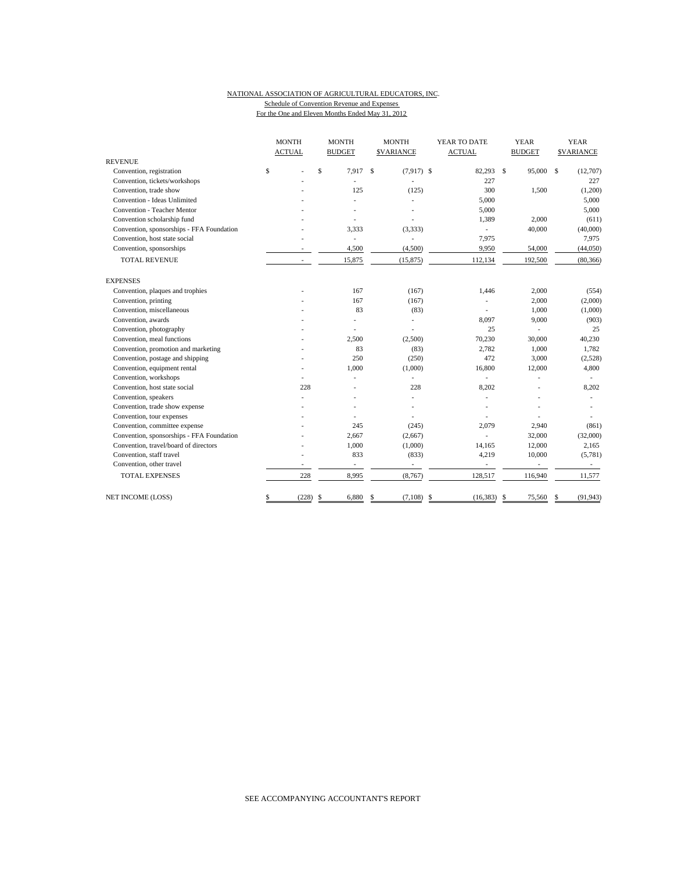## NATIONAL ASSOCIATION OF AGRICULTURAL EDUCATORS, INC. Schedule of Convention Revenue and Expenses For the One and Eleven Months Ended May 31, 2012

|                                           | <b>MONTH</b>  | <b>MONTH</b>             | <b>MONTH</b>                  | YEAR TO DATE             | <b>YEAR</b>               | <b>YEAR</b>      |
|-------------------------------------------|---------------|--------------------------|-------------------------------|--------------------------|---------------------------|------------------|
|                                           | <b>ACTUAL</b> | <b>BUDGET</b>            | <b>SVARIANCE</b>              | <b>ACTUAL</b>            | <b>BUDGET</b>             | <b>SVARIANCE</b> |
| <b>REVENUE</b>                            |               |                          |                               |                          |                           |                  |
| Convention, registration                  | \$            | \$<br>7,917              | <sup>\$</sup><br>$(7,917)$ \$ | 82,293                   | $\mathbf{s}$<br>95,000 \$ | (12,707)         |
| Convention, tickets/workshops             |               |                          |                               | 227                      |                           | 227              |
| Convention, trade show                    |               | 125                      | (125)                         | 300                      | 1,500                     | (1,200)          |
| Convention - Ideas Unlimited              |               |                          | ٠                             | 5,000                    |                           | 5,000            |
| Convention - Teacher Mentor               |               |                          |                               | 5,000                    |                           | 5,000            |
| Convention scholarship fund               |               |                          |                               | 1,389                    | 2,000                     | (611)            |
| Convention, sponsorships - FFA Foundation |               | 3,333                    | (3,333)                       | L,                       | 40,000                    | (40,000)         |
| Convention, host state social             |               | ÷,                       |                               | 7,975                    |                           | 7,975            |
| Convention, sponsorships                  |               | 4,500                    | (4,500)                       | 9,950                    | 54,000                    | (44,050)         |
| <b>TOTAL REVENUE</b>                      |               | 15,875                   | (15, 875)                     | 112,134                  | 192,500                   | (80, 366)        |
| <b>EXPENSES</b>                           |               |                          |                               |                          |                           |                  |
| Convention, plaques and trophies          |               | 167                      | (167)                         | 1,446                    | 2,000                     | (554)            |
| Convention, printing                      |               | 167                      | (167)                         |                          | 2,000                     | (2,000)          |
| Convention, miscellaneous                 |               | 83                       | (83)                          |                          | 1,000                     | (1,000)          |
| Convention, awards                        |               |                          |                               | 8,097                    | 9,000                     | (903)            |
| Convention, photography                   |               |                          |                               | 25                       |                           | 25               |
| Convention, meal functions                |               | 2,500                    | (2,500)                       | 70,230                   | 30,000                    | 40,230           |
| Convention, promotion and marketing       |               | 83                       | (83)                          | 2,782                    | 1,000                     | 1,782            |
| Convention, postage and shipping          |               | 250                      | (250)                         | 472                      | 3,000                     | (2,528)          |
| Convention, equipment rental              |               | 1,000                    | (1,000)                       | 16,800                   | 12,000                    | 4,800            |
| Convention, workshops                     |               |                          |                               |                          |                           |                  |
| Convention, host state social             | 228           |                          | 228                           | 8,202                    |                           | 8,202            |
| Convention, speakers                      |               |                          |                               | ÷,                       |                           |                  |
| Convention, trade show expense            |               |                          |                               |                          |                           |                  |
| Convention, tour expenses                 |               |                          |                               |                          |                           |                  |
| Convention, committee expense             |               | 245                      | (245)                         | 2.079                    | 2,940                     | (861)            |
| Convention, sponsorships - FFA Foundation |               | 2,667                    | (2,667)                       | ÷,                       | 32,000                    | (32,000)         |
| Convention, travel/board of directors     |               | 1,000                    | (1,000)                       | 14,165                   | 12,000                    | 2,165            |
| Convention, staff travel                  |               | 833                      | (833)                         | 4,219                    | 10,000                    | (5,781)          |
| Convention, other travel                  |               | $\overline{\phantom{a}}$ | $\overline{\phantom{a}}$      | $\overline{\phantom{a}}$ | $\overline{\phantom{a}}$  | $\sim$           |
| <b>TOTAL EXPENSES</b>                     | 228           | 8,995                    | (8,767)                       | 128,517                  | 116,940                   | 11,577           |
| NET INCOME (LOSS)                         | \$<br>(228)   | \$<br>6,880              | \$<br>(7,108)                 | \$<br>(16, 383)          | 75,560<br>- \$            | (91, 943)<br>S   |

SEE ACCOMPANYING ACCOUNTANT'S REPORT